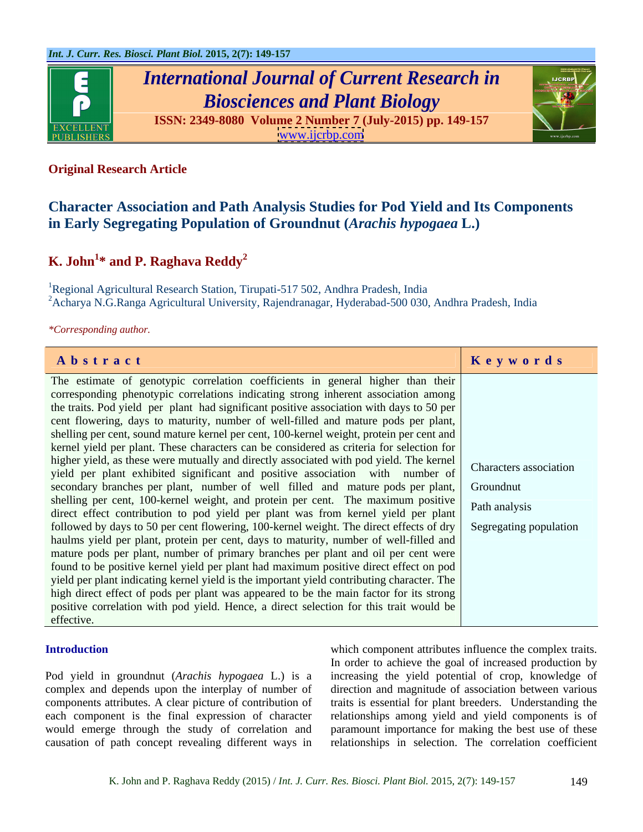

# *International Journal of Current Research in Biosciences and Plant Biology*

**ISSN: 2349-8080 Volume 2 Number 7 (July-2015) pp. 149-157** [www.ijcrbp.com](http://www.ijcrbp.com)



### **Original Research Article**

## **Character Association and Path Analysis Studies for Pod Yield and Its Components in Early Segregating Population of Groundnut (***Arachis hypogaea* **L.)**

# $\boldsymbol{\mathrm{K.}\text{ John}}^{1*}$  and  $\boldsymbol{\mathrm{P.}\text{ Raghava }\text{Reddy}^{2}}$

<sup>1</sup>Regional Agricultural Research Station, Tirupati-517 502, Andhra Pradesh, India  $^{2}$ Acharya N.G.Ranga Agricultural University, Rajendranagar, Hyderabad-500 030, Andhra Pradesh, India

*\*Corresponding author.*

| Abstract                                                                                                                   | Keywords |
|----------------------------------------------------------------------------------------------------------------------------|----------|
| The estimate of genotypic correlation coefficients in general higher than their                                            |          |
|                                                                                                                            |          |
| corresponding phenotypic correlations indicating strong inherent association among                                         |          |
| the traits. Pod yield per plant had significant positive association with days to 50 per                                   |          |
| cent flowering, days to maturity, number of well-filled and mature pods per plant,                                         |          |
| shelling per cent, sound mature kernel per cent, 100-kernel weight, protein per cent and                                   |          |
| kernel yield per plant. These characters can be considered as criteria for selection for                                   |          |
| higher yield, as these were mutually and directly associated with pod yield. The kernel Characters association             |          |
| yield per plant exhibited significant and positive association with number of                                              |          |
| secondary branches per plant, number of well filled and mature pods per plant, Groundnut                                   |          |
| shelling per cent, 100-kernel weight, and protein per cent. The maximum positive Path analysis                             |          |
| direct effect contribution to pod yield per plant was from kernel yield per plant                                          |          |
| followed by days to 50 per cent flowering, 100-kernel weight. The direct effects of $\frac{dy}{dx}$ Segregating population |          |
| haulms yield per plant, protein per cent, days to maturity, number of well-filled and                                      |          |
|                                                                                                                            |          |
| mature pods per plant, number of primary branches per plant and oil per cent were                                          |          |
| found to be positive kernel yield per plant had maximum positive direct effect on pod                                      |          |
| yield per plant indicating kernel yield is the important yield contributing character. The                                 |          |
| high direct effect of pods per plant was appeared to be the main factor for its strong                                     |          |
| positive correlation with pod yield. Hence, a direct selection for this trait would be                                     |          |
| effective.                                                                                                                 |          |

Pod yield in groundnut (*Arachis hypogaea* L.) is a increasing the yield potential of crop, knowledge of complex and depends upon the interplay of number of direction and magnitude of association between various components attributes. A clear picture of contribution of traits is essential for plant breeders. Understanding the each component is the final expression of character relationships among yield and yield components is of would emerge through the study of correlation and paramount importance for making the bestuse of these

**Introduction** which component attributes influence the complex traits. causation of path concept revealing different ways in relationships in selection. The correlation coefficient In order to achieve the goal of increased production by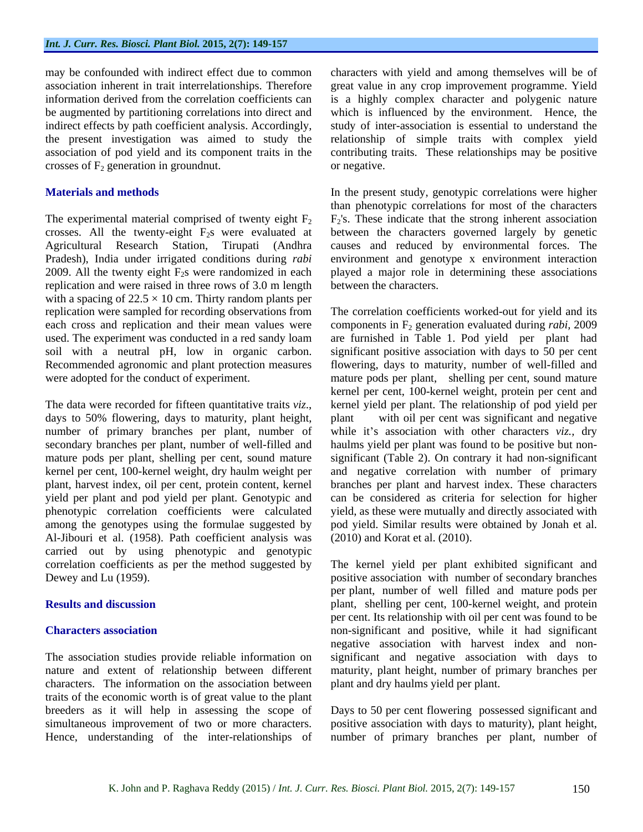crosses of  $F_2$  generation in groundnut.  $\qquad \qquad$  or negative.

2009. All the twenty eight  $F_2$ s were randomized in each replication and were raised in three rows of 3.0 m length with a spacing of  $22.5 \times 10$  cm. Thirty random plants per

The data were recorded for fifteen quantitative traits *viz*., kernel yield per plant. The relationship of pod yield per days to 50% flowering, days to maturity, plant height, plant with oil per cent was significant and ne number of primary branches per plant, number of while it's association with other characters *viz*., dry secondary branches per plant, number of well-filled and haulms yield per plant was found to be positive but non mature pods per plant, shelling per cent, sound mature significant (Table 2). On contrary it had non-significant kernel per cent, 100-kernel weight, dry haulm weight per and negative correlation with number of primary plant, harvest index, oil per cent, protein content, kernel branches per plant and harvest index. These characters yield per plant and pod yield per plant. Genotypic and can be considered as criteria forselection for higher phenotypic correlation coefficients were calculated yield, as these were mutually and directly associated with among the genotypes using the formulae suggested by Al-Jibouri et al. (1958). Path coefficient analysis was carried out by using phenotypic and genotypic

The association studies provide reliable information on characters. The information on the association between traits of the economic worth is of great value to the plant breeders as it will help in assessing the scope of Days to 50 per cent flowering possessed significant and simultaneous improvement of two or more characters. positive association with days to maturity), plant height, Hence, understanding of the inter-relationships of

may be confounded with indirect effect due to common characters with yield and among themselves will be of association inherent in trait interrelationships. Therefore great value in any crop improvement programme. Yield information derived from the correlation coefficients can is a highly complex character and polygenic nature be augmented by partitioning correlations into direct and which is influenced by the environment. Hence, the indirect effects by path coefficient analysis. Accordingly, study of inter-association is essential to understand the the present investigation was aimed to study the relationship of simple traits with complex yield association of pod yield and its component traits in the contributing traits. These relationships may be positive or negative.

**Materials and methods In the present study, genotypic correlations were higher** The experimental material comprised of twenty eight  $F_2$   $F_2$ 's. These indicate that the strong inherent association crosses. All the twenty-eight  $F_2$ s were evaluated at between the characters governed largely by genetic Agricultural Research Station, Tirupati (Andhra causes and reduced by environmental forces. The Pradesh), India under irrigated conditions during *rabi*  environment and genotype x environment interaction than phenotypic correlations for most of the characters played a major role in determining these associations between the characters.

replication were sampled for recording observations from The correlation coefficients worked-out for yield and its each cross and replication and their mean values were components in F<sub>2</sub> generation evaluated during *rabi*, 2009 used. The experiment was conducted in a red sandy loam are furnished in Table 1. Pod yield per plant had soil with a neutral pH, low in organic carbon. significant positive association with days to 50 per cent Recommended agronomic and plant protection measures flowering, days to maturity, number of well-filled and were adopted for the conduct of experiment. mature pods per plant, shelling per cent, sound mature kernel per cent, 100-kernel weight, protein per cent and kernel yield per plant. The relationship of pod yield per plant with oil per cent was significant and negative pod yield. Similar results were obtained by Jonah et al. (2010) and Korat et al. (2010).

correlation coefficients as per the method suggested by The kernel yield per plant exhibited significant and Dewey and Lu (1959). positive association with number of secondary branches **Results and discussion** plant, shelling per cent, 100-kernel weight, and protein **Characters association non-significant and positive, while it had significant** nature and extent of relationship between different maturity, plant height, number of primary branches per per plant, number of well filled and mature pods per per cent. Its relationship with oil per cent was found to be negative association with harvest index and non significant and negative association with days to plant and dry haulms yield per plant.

number of primary branches per plant, number of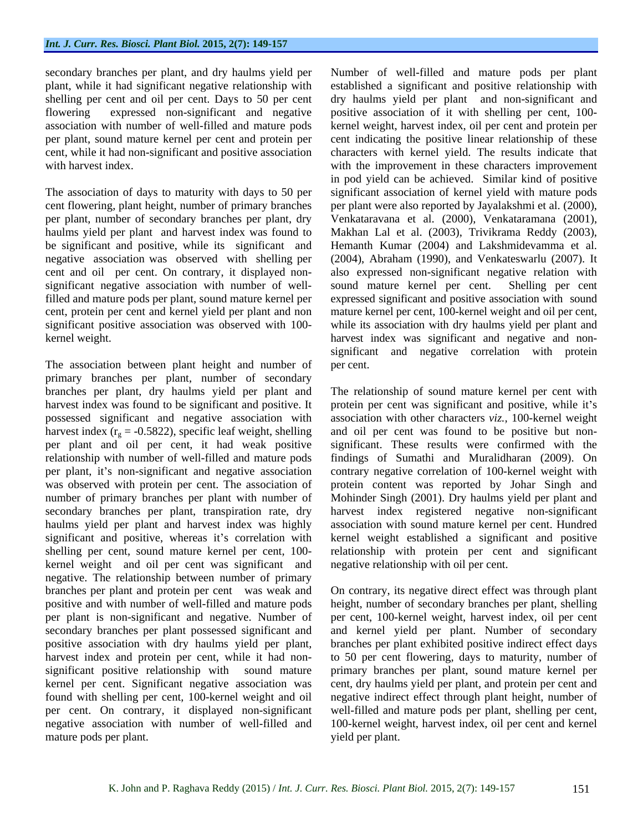be significant and positive, while its significant and negative association was observed with shelling per significant negative association with number of well-<br>sound mature kernel per cent. Shelling per cent

The association between plant height and number of per cent. primary branches per plant, number of secondary branches per plant, dry haulms yield per plant and The relationship of sound mature kernel per cent with harvest index was found to be significant and positive. It protein per cent was significant and positive, while it's possessed significant and negative association with harvest index ( $r_g = -0.5822$ ), specific leaf weight, shelling<br>per plant and oil per cent, it had weak positive per plant and oil per cent, it had weak positive significant. These results were confirmed with the relationship with number of well-filled and mature pods findings of Sumathi and Muralidharan (2009). On per plant, it's non-significant and negative association contrary negative correlation of 100-kernel weight with was observed with protein per cent. The association of protein content was reported by Johar Singh and number of primary branches per plant with number of secondary branches per plant, transpiration rate, dry harvest index registered negative non-significant haulms yield per plant and harvest index was highly significant and positive, whereas it's correlation with kernel weight established a significant and positive shelling per cent, sound mature kernel per cent, 100- relationship with protein per cent and significant kernel weight and oil per cent was significant and negative. The relationship between number of primary branches per plant and protein per cent was weak and On contrary, its negative direct effect was through plant positive and with number of well-filled and mature pods height, number of secondary branches per plant, shelling per plant is non-significant and negative. Number of per cent, 100-kernel weight, harvest index, oil per cent secondary branches per plant possessed significant and and kernel yield per plant. Number of secondary positive association with dry haulms yield per plant, branches per plant exhibited positive indirect effect days harvest index and protein per cent, while it had non- to 50 per cent flowering, days to maturity, number of significant positive relationship with sound mature primary branches per plant, sound mature kernel per kernel per cent. Significant negative association was cent, dry haulms yield per plant, and protein per cent and found with shelling per cent, 100-kernel weight and oil negative indirect effect through plant height, number of per cent. On contrary, it displayed non-significant well-filled and mature pods per plant, shelling per cent, negative association with number of well-filled and 100-kernel weight, harvest index, oil per cent and kernel mature pods per plant.

secondary branches per plant, and dry haulms yield per Number of well-filled and mature pods per plant plant, while it had significant negative relationship with established a significant and positive relationship with shelling per cent and oil per cent. Days to 50 per cent dry haulms yield per plant and non-significant and flowering expressed non-significant and negative positive association of it with shelling per cent, 100 association with number of well-filled and mature pods kernel weight, harvest index, oil per cent and protein per per plant, sound mature kernel per cent and protein per cent indicating the positive linear relationship of these cent, while it had non-significant and positive association characters with kernel yield. The results indicate that with harvest index. The improvement in these characters improvement in these characters improvement The association of days to maturity with days to 50 per significant association of kernel yield with mature pods cent flowering, plant height, number of primary branches per plant were also reported by Jayalakshmi et al. (2000), per plant, number of secondary branches per plant, dry Venkataravana et al. (2000), Venkataramana (2001), haulms yield per plant and harvest index was found to Makhan Lal et al. (2003), Trivikrama Reddy (2003), cent and oil per cent. On contrary, it displayed non- also expressed non-significant negative relation with filled and mature pods per plant, sound mature kernel per expressed significant and positive association with sound cent, protein per cent and kernel yield per plant and non mature kernel per cent, 100-kernel weight and oil per cent, significant positive association was observed with 100- while its association with dry haulms yield per plant and kernel weight. harvest index was significant and negative and non in pod yield can be achieved. Similar kind of positive Hemanth Kumar (2004) and Lakshmidevamma et al. (2004), Abraham (1990), and Venkateswarlu (2007). It sound mature kernel per cent. significant and negative correlation with protein per cent. The relationship of sound mature kernel per cent with

association with other characters *viz.,* 100-kernel weight and oil per cent was found to be positive but non- Mohinder Singh (2001). Dry haulms yield per plant and association with sound mature kernel per cent. Hundred negative relationship with oil per cent.

yield per plant.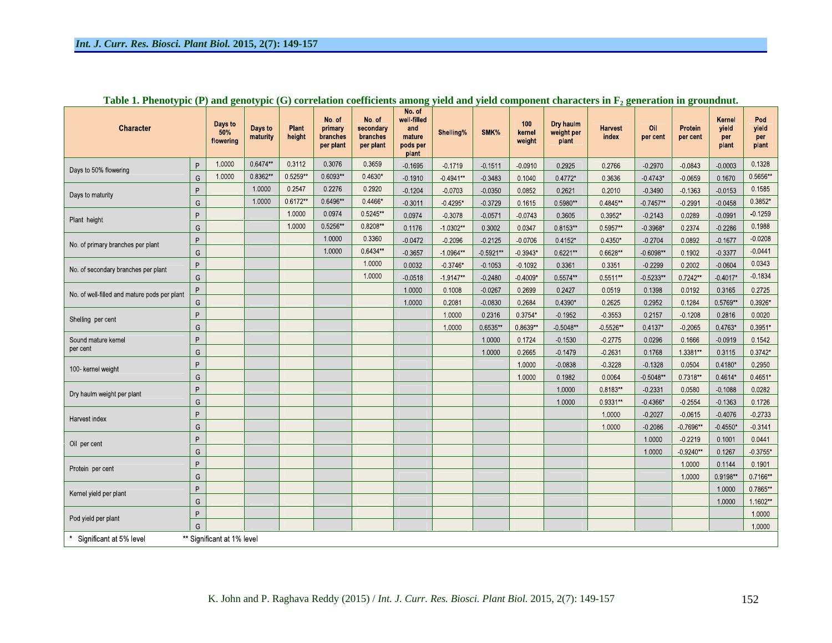| <b>Character</b>                             |                            | Days to<br>50%<br>flowering | Days to<br>maturity | Plant<br>height | No. of<br>primary<br>branches<br>per plant | No. of<br>secondary<br>branches<br>per plant | No. of<br>well-filled<br>and<br>mature<br>pods per<br>plant | Shelling%   | SMK%      | 100<br>kernel<br>weight | Dry haulm<br>weight per<br>plant | <b>Harvest</b><br>index | Oil<br>per cent | Protein<br>per cent | Kernel<br>yield<br>per<br>plant | Pod<br>yield<br>per<br>plant |
|----------------------------------------------|----------------------------|-----------------------------|---------------------|-----------------|--------------------------------------------|----------------------------------------------|-------------------------------------------------------------|-------------|-----------|-------------------------|----------------------------------|-------------------------|-----------------|---------------------|---------------------------------|------------------------------|
| Days to 50% flowering                        |                            | 1.0000                      | 0.6474**            | 0.3112          | 0.3076                                     | 0.3659                                       | $-0.1695$                                                   | 0.1719      | $-0.1511$ | 0.0910                  | 0.2925                           | 0.2766                  | $-0.2970$       | $-0.0843$           | $-0.0003$                       | 0.1328                       |
|                                              | G                          | 1.0000                      | 0.8362**            | 0.5259**        | 0.6093**                                   | 0.4630*                                      | 0.1910                                                      | $0.4941**$  | 0.3483    | 0.1040                  | 0.4772*                          | 0.3636                  | $0.4743*$       | 0.0659              | 0.1670                          | 0.5656**                     |
|                                              |                            |                             | 1.0000              | 0 2 5 4 7       | 0.2276                                     | 0.2920                                       | $-0.1204$                                                   | $-0.0703$   | $-0.0350$ | 0.0852                  | 0.2621                           | 0 2010                  | 0 3 4 9 0       | 0 1 3 6 3           | 0.0153                          | 0.1585                       |
| Days to maturity                             | G                          |                             | 1.0000              | 0.6172**        | 0.6496**                                   | 0.4466*                                      | 0.3011                                                      | $0.4295*$   | 0 3 7 2 9 | 0.1615                  | 0 5980**                         | 0.4845**                | $0.7457**$      | 0.2991              | $-0.0458$                       | 0.3852*                      |
| Plant height                                 | P                          |                             |                     | 1.0000          | 0.0974                                     | 0 5245**                                     | 0 0 9 7 4                                                   | 0.3078      | 0.0571    | 0.0743                  | 0.3605                           | 0.3952*                 | 0.2143          | 0.0289              | $-0.0991$                       | 0.1259                       |
|                                              | G                          |                             |                     | 1.0000          | 0.5256**                                   | 0.8208**                                     | 0 1176                                                      | $-1.0302**$ | 0.3002    | 0.0347                  | 0 8153**                         | 0 5957**                | $0.3968*$       | 0.2374              | $-0.2286$                       | 0.1988                       |
| No. of primary branches per plant            | P                          |                             |                     |                 | 1.0000                                     | 0 3 3 6 0                                    | $-0.0472$                                                   | 0.2096      | 0.2125    | 0.0706                  | 0.4152*                          | $0.4350*$               | $-0.2704$       | 0.0892              | 0.1677                          | 0.0208                       |
| G                                            |                            |                             |                     |                 | 1.0000                                     | $0.6434**$                                   | $-0.3657$                                                   | $10964**$   | 0.5921**  | $0.3943*$               | 0.6221**                         | 0.6628**                | $-0.6098**$     | 0.1902              | 0 3 3 7 7                       | 0.0441                       |
| No. of secondary branches per plant          | P                          |                             |                     |                 |                                            | 1.0000                                       | 0.0032                                                      | $0.3746*$   | $-0.1053$ | 0.1092                  | 0 3 3 6 1                        | 0.3351                  | $-0.2299$       | 0.2002              | $-0.0604$                       | 0.0343                       |
|                                              |                            |                             |                     |                 |                                            | 1.0000                                       | $-0.0518$                                                   | $19147**$   | $-0.2480$ | $0.4009*$               | 0.5574**                         | 0.5511**                | $-0.5233**$     | 0.7242**            | $-0.4017*$                      | 0.1834                       |
| No. of well-filled and mature pods per plant | P                          |                             |                     |                 |                                            |                                              | 1.0000                                                      | 0.1008      | $-0.0267$ | 0.2699                  | 0.2427                           | 0.0519                  | 0.1398          | 0.0192              | 0.3165                          | 0.2725                       |
|                                              |                            |                             |                     |                 |                                            |                                              | 1.0000                                                      | 0.2081      | $-0.0830$ | 0.2684                  | 0.4390*                          | 0.2625                  | 0.2952          | 0.1284              | 0.5769**                        | 0.3926*                      |
| Shelling per cent                            |                            |                             |                     |                 |                                            |                                              |                                                             | 1.0000      | 0 2 3 1 6 | 0.3754*                 | 0.1952                           | 0.3553                  | 0.2157          | 0.1208              | 0.2816                          | 0.0020                       |
|                                              | G                          |                             |                     |                 |                                            |                                              |                                                             | 1.0000      | 0.6535**  | 0.8639**                | 0.5048**                         | 0.5526**                | 0 4137*         | 0 2065              | 0.4763*                         | 0.3951*                      |
| Sound mature kernel                          | P                          |                             |                     |                 |                                            |                                              |                                                             |             | 1.0000    | 0.1724                  | $-0.1530$                        | 0.2775                  | 0.0296          | 0.1666              | $-0.0919$                       | 0.1542                       |
| per cent                                     | G                          |                             |                     |                 |                                            |                                              |                                                             |             | 1.0000    | 0.2665                  | 0.1479                           | 0.2631                  | 0.1768          | 1 3 381**           | 0.3115                          | 0.3742*                      |
| 100 kernel weight                            | P                          |                             |                     |                 |                                            |                                              |                                                             |             |           | 1.0000                  | 0.0838                           | 0.3228                  | $-0.1328$       | 0.0504              | 0.4180*                         | 0.2950                       |
|                                              | G                          |                             |                     |                 |                                            |                                              |                                                             |             |           | 1.0000                  | 0 1982                           | 0.0064                  | $0.5048**$      | 0.7318**            | 0 4614*                         | 0.4651*                      |
| Dry haulm weight per plant                   | $\sf P$                    |                             |                     |                 |                                            |                                              |                                                             |             |           |                         | 1 0000                           | 0.8183**                | 0.2331          | 0.0580              | 0.1088                          | 0.0282                       |
|                                              | G                          |                             |                     |                 |                                            |                                              |                                                             |             |           |                         | 1.0000                           | 0.9331**                | $-0.4366*$      | 0.2554              | 0.1363                          | 0.1726                       |
| Harvest index                                | P                          |                             |                     |                 |                                            |                                              |                                                             |             |           |                         |                                  | 1.0000                  | 0.2027          | 0.0615              | $-0.4076$                       | 0.2733                       |
|                                              | G                          |                             |                     |                 |                                            |                                              |                                                             |             |           |                         |                                  | 1.0000                  | 0.2086          | $0.7696**$          | $0.4550*$                       | 0.3141                       |
| Oil per cent                                 | P                          |                             |                     |                 |                                            |                                              |                                                             |             |           |                         |                                  |                         | 1.0000          | 0 2 2 1 9           | 0.1001                          | 0.0441                       |
|                                              | G                          |                             |                     |                 |                                            |                                              |                                                             |             |           |                         |                                  |                         | 1.0000          | $0.9240**$          | 0 1 2 6 7                       | 0.3755*                      |
| Protein per cent                             | P                          |                             |                     |                 |                                            |                                              |                                                             |             |           |                         |                                  |                         |                 | 1.0000              | 0.1144                          | 0.1901                       |
|                                              | G                          |                             |                     |                 |                                            |                                              |                                                             |             |           |                         |                                  |                         |                 | 1.0000              | 0.9198**                        | 0.7166**                     |
| Kernel yield per plant                       | P                          |                             |                     |                 |                                            |                                              |                                                             |             |           |                         |                                  |                         |                 |                     | 1.0000                          | 0.7865**                     |
|                                              |                            |                             |                     |                 |                                            |                                              |                                                             |             |           |                         |                                  |                         |                 |                     | 1.0000                          | 1.1602**                     |
| Pod yield per plant                          | P                          |                             |                     |                 |                                            |                                              |                                                             |             |           |                         |                                  |                         |                 |                     |                                 | 1.0000                       |
|                                              |                            |                             |                     |                 |                                            |                                              |                                                             |             |           |                         |                                  |                         |                 |                     |                                 | 1.0000                       |
| Significant at 5% level                      | ** Significant at 1% level |                             |                     |                 |                                            |                                              |                                                             |             |           |                         |                                  |                         |                 |                     |                                 |                              |

Table 1. Phenotypic (P) and genotypic (G) correlation coefficients among yield and yield component characters in F<sub>2</sub> generation in groundnut.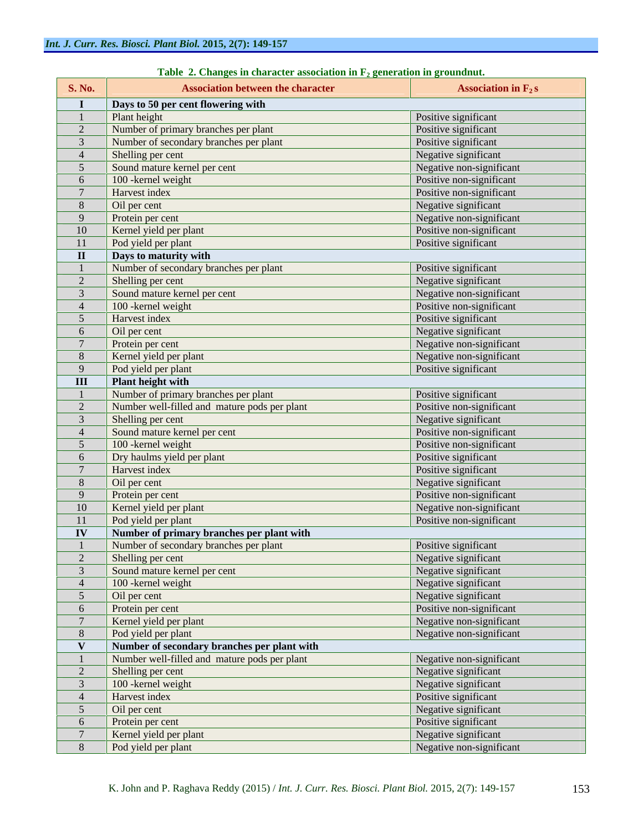| <b>S. No.</b> | <b>Association between the character</b>      |                          |
|---------------|-----------------------------------------------|--------------------------|
|               | Days to 50 per cent flowering with            |                          |
|               | Plant height                                  | Positive significant     |
|               | Number of primary branches per plant          | Positive significant     |
|               | Number of secondary branches per plant        | Positive significant     |
|               | Shelling per cent                             | Negative significant     |
|               | Sound mature kernel per cent                  | Negative non-significant |
| 6             | 100 - kernel weight                           | Positive non-significant |
|               | Harvest index                                 | Positive non-significant |
|               | Oil per cent                                  | Negative significant     |
|               | Protein per cent                              | Negative non-significant |
| 10            | Kernel yield per plant                        | Positive non-significant |
| -11           | Pod yield per plant                           | Positive significant     |
|               | Days to maturity with                         |                          |
|               | Number of secondary branches per plant        | Positive significant     |
|               | Shelling per cent                             | Negative significant     |
|               | Sound mature kernel per cent                  | Negative non-significant |
|               | 100 - kernel weight                           | Positive non-significant |
|               | Harvest index                                 | Positive significant     |
| 6             | Oil per cent                                  | Negative significant     |
|               | Protein per cent                              | Negative non-significant |
|               | Kernel yield per plant                        | Negative non-significant |
|               | Pod yield per plant                           | Positive significant     |
|               | <b>Plant height with</b>                      |                          |
|               | Number of primary branches per plant          | Positive significant     |
|               | Number well-filled and mature pods per plant  | Positive non-significant |
|               | Shelling per cent                             | Negative significant     |
|               | Sound mature kernel per cent                  | Positive non-significant |
|               | 100 - kernel weight                           | Positive non-significant |
| -6            | Dry haulms yield per plant                    | Positive significant     |
|               | Harvest index                                 | Positive significant     |
|               | Oil per cent                                  | Negative significant     |
|               | Protein per cent                              | Positive non-significant |
|               |                                               |                          |
| 10            | Kernel yield per plant<br>Pod yield per plant | Negative non-significant |
| - 11          |                                               | Positive non-significant |
|               | Number of primary branches per plant with     |                          |
|               | Number of secondary branches per plant        | Positive significant     |
|               | Shelling per cent                             | Negative significant     |
|               | Sound mature kernel per cent                  | Negative significant     |
|               | 100 - kernel weight                           | Negative significant     |
|               | Oil per cent                                  | Negative significant     |
| -6            | Protein per cent                              | Positive non-significant |
|               | Kernel yield per plant                        | Negative non-significant |
| -8            | Pod yield per plant                           | Negative non-significant |
|               | Number of secondary branches per plant with   |                          |
|               | Number well-filled and mature pods per plant  | Negative non-significant |
| 2             | Shelling per cent                             | Negative significant     |
|               | 100 - kernel weight                           | Negative significant     |
|               | Harvest index                                 | Positive significant     |
|               | Oil per cent                                  | Negative significant     |
| 6             | Protein per cent                              | Positive significant     |
|               | Kernel yield per plant                        | Negative significant     |
| 8             | Pod yield per plant                           | Negative non-significant |

| <b>Table</b><br>, in character association in $\mathbf{F}^{\perp}$<br>eeneration in groundnut.<br>:hange |  |
|----------------------------------------------------------------------------------------------------------|--|
|----------------------------------------------------------------------------------------------------------|--|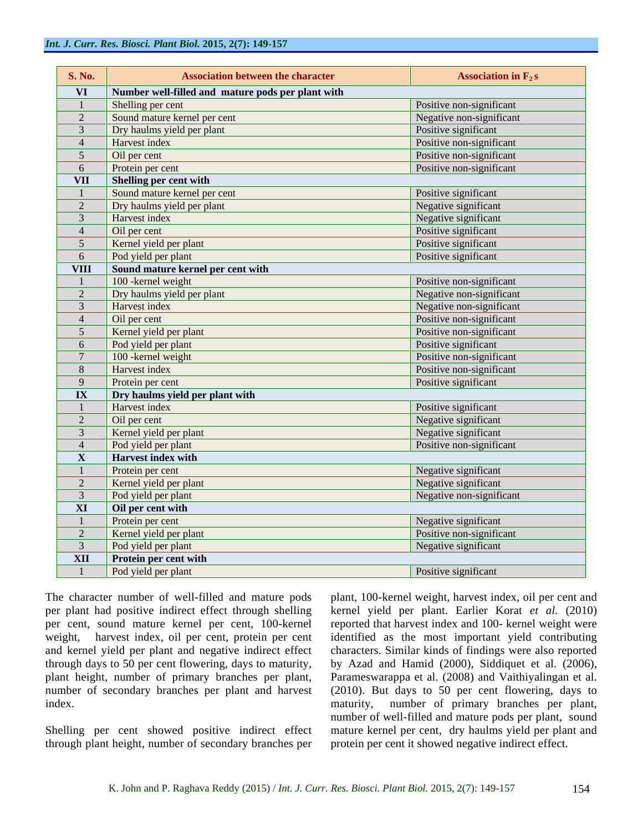| <b>S. No.</b>           | <b>Association between the character</b>          | Association in $F_2s$    |  |  |  |  |
|-------------------------|---------------------------------------------------|--------------------------|--|--|--|--|
| <b>VI</b>               | Number well-filled and mature pods per plant with |                          |  |  |  |  |
|                         | Shelling per cent                                 | Positive non-significant |  |  |  |  |
| $\overline{2}$          | Sound mature kernel per cent                      | Negative non-significant |  |  |  |  |
|                         | Dry haulms yield per plant                        | Positive significant     |  |  |  |  |
| $\overline{4}$          | Harvest index                                     | Positive non-significant |  |  |  |  |
| 5 <sup>5</sup>          | Oil per cent                                      | Positive non-significant |  |  |  |  |
| 6                       | Protein per cent                                  | Positive non-significant |  |  |  |  |
| <b>VII</b>              | <b>Shelling per cent with</b>                     |                          |  |  |  |  |
|                         | Sound mature kernel per cent                      | Positive significant     |  |  |  |  |
| 2                       | Dry haulms yield per plant                        | Negative significant     |  |  |  |  |
| $\overline{3}$          | Harvest index                                     | Negative significant     |  |  |  |  |
| $\overline{4}$          | Oil per cent                                      | Positive significant     |  |  |  |  |
| 5 <sup>5</sup>          | Kernel yield per plant                            | Positive significant     |  |  |  |  |
| -6                      | Pod yield per plant                               | Positive significant     |  |  |  |  |
| <b>VIII</b>             | Sound mature kernel per cent with                 |                          |  |  |  |  |
|                         | 100 - kernel weight                               | Positive non-significant |  |  |  |  |
| 2                       | Dry haulms yield per plant                        | Negative non-significant |  |  |  |  |
| $-3$                    | Harvest index                                     | Negative non-significant |  |  |  |  |
| $\overline{4}$          | Oil per cent                                      | Positive non-significant |  |  |  |  |
| 5 <sup>5</sup>          | Kernel yield per plant                            | Positive non-significant |  |  |  |  |
| 6                       | Pod yield per plant                               | Positive significant     |  |  |  |  |
|                         | 100 - kernel weight                               | Positive non-significant |  |  |  |  |
| 8                       | Harvest index                                     | Positive non-significant |  |  |  |  |
| $\mathbf{Q}$            | Protein per cent                                  | Positive significant     |  |  |  |  |
| $\mathbf{I} \mathbf{X}$ | Dry haulms yield per plant with                   |                          |  |  |  |  |
|                         | Harvest index                                     | Positive significant     |  |  |  |  |
| 2                       | Oil per cent                                      | Negative significant     |  |  |  |  |
| $\overline{3}$          | Kernel yield per plant                            | Negative significant     |  |  |  |  |
| $\overline{4}$          | Pod yield per plant                               | Positive non-significant |  |  |  |  |
| $\mathbf{X}$            | Harvest index with                                |                          |  |  |  |  |
|                         | Protein per cent                                  | Negative significant     |  |  |  |  |
|                         | Kernel yield per plant                            | Negative significant     |  |  |  |  |
| $\overline{3}$          | Pod yield per plant                               | Negative non-significant |  |  |  |  |
| $\overline{\mathbf{X}}$ | Oil per cent with                                 |                          |  |  |  |  |
|                         | Protein per cent                                  | Negative significant     |  |  |  |  |
| 2                       | Kernel yield per plant                            | Positive non-significant |  |  |  |  |
|                         | Pod yield per plant                               | Negative significant     |  |  |  |  |
| <b>XII</b>              | <b>Protein per cent with</b>                      |                          |  |  |  |  |
|                         | Pod yield per plant                               | Positive significant     |  |  |  |  |

through plant height, number of secondary branches per

The character number of well-filled and mature pods plant, 100-kernel weight, harvest index, oil per cent and per plant had positive indirect effect through shelling kernel yield per plant. Earlier Korat *et al.* (2010) per cent, sound mature kernel per cent, 100-kernel reported that harvest index and 100-kernel weight were weight, harvest index, oil per cent, protein per cent identified as the most important yield contributing and kernel yield per plant and negative indirect effect characters. Similar kinds of findings were also reported through days to 50 per cent flowering, days to maturity, by Azad and Hamid (2000), Siddiquet et al. (2006), plant height, number of primary branches per plant, Parameswarappa et al. (2008) and Vaithiyalingan et al. number of secondary branches per plant and harvest (2010). But days to 50 per cent flowering, days to index. maturity, number of primary branches per plant, Shelling per cent showed positive indirect effect mature kernel per cent, dry haulms yield per plant and number of well-filled and mature pods per plant, sound protein per cent it showed negative indirect effect.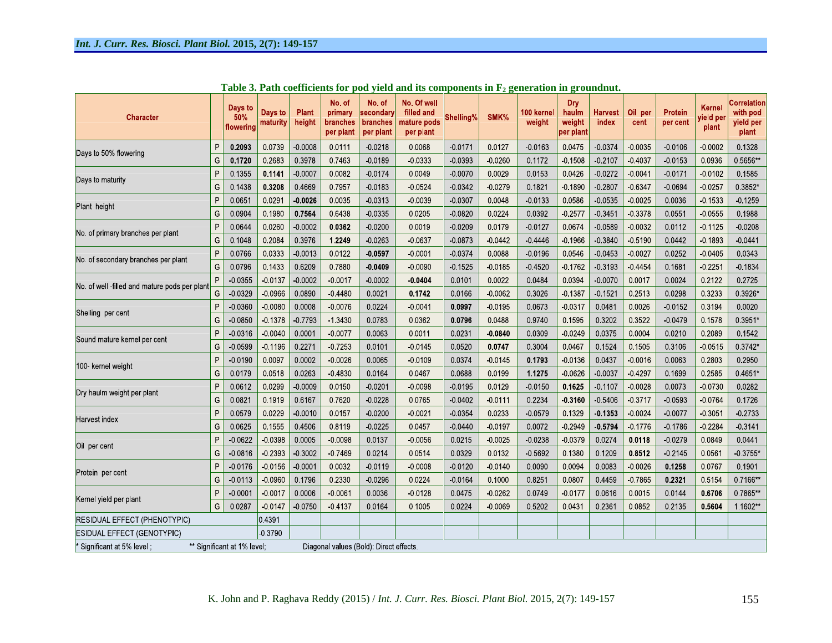| <b>Character</b>                                           |   | Days to<br>50%<br>flowering | Days to<br>maturity                     | <b>Plant</b><br>height | No. of<br>primary<br>branches<br>per plant | No. of<br>secondary<br><b>branches</b><br>per plant | No. Of well<br>filled and<br>mature pods<br>per plant | Shelling% | SMK%      | 100 kernel<br>weight | Dry<br>haulm<br>weight<br>per plant | <b>Harvest</b><br>index | Oil per<br>cent | Protein<br>per cent | Kernel<br>rield per<br>plant | <b>Correlation</b><br>with pod<br>yield per<br>plant |
|------------------------------------------------------------|---|-----------------------------|-----------------------------------------|------------------------|--------------------------------------------|-----------------------------------------------------|-------------------------------------------------------|-----------|-----------|----------------------|-------------------------------------|-------------------------|-----------------|---------------------|------------------------------|------------------------------------------------------|
| Days to 50% flowering                                      | P | 0.2093                      | 0.0739                                  | 0.0008                 | 0.0111                                     | $-0.0218$                                           | 0.0068                                                | 0.0171    | 0.0127    | $-0.0163$            | 0.0475                              | 0.0374                  | 0.0035          | 0.0106              | 00002                        | 0.1328                                               |
|                                                            |   | 0.1720                      | 0.2683                                  | 0.3978                 | 07463                                      | 0.0189                                              | 0 0 3 3 3                                             | $-0.0393$ | $-0.0260$ | 0.1172               | 0 1508                              | 0.2107                  | 0 40 37         | 0.0153              | 0 0 9 3 6                    | 0.5656**                                             |
| Days to maturity                                           | P | 0.1355                      | 0.1141                                  | $-0.0007$              | 0.0082                                     | $-0.0174$                                           | 0.0049                                                | 0.0070    | 0.0029    | 0.0153               | 0.0426                              | $-0.0272$               | 0.0041          | 0.0171              | 0.0102                       | 0.1585                                               |
|                                                            |   | 0.1438                      | 0.3208                                  | 04669                  | 0.7957                                     | 0.0183                                              | 0 0 5 2 4                                             | 0 0 3 4 2 | 0 0 2 7 9 | 0 1821               | 0 1890                              | 0 2807                  | 0 6 3 4 7       | 0 0 6 9 4           | 0.0257                       | 0.3852*                                              |
|                                                            | P | 0.065'                      | 0.0291                                  | $-0.0026$              | 0.0035                                     | 0.0313                                              | 0.0039                                                | 0.0307    | 0 0 0 4 8 | 0 0 1 3 3            | 0.0586                              | 0 0 5 3 5               | $-0.0025$       | 0.0036              | 0 1533                       | 0 1 2 5 9                                            |
| Plant height                                               |   | 0.0904                      | 0.1980                                  | 0.7564                 | 0.6438                                     | $-0.0335$                                           | 0.0205                                                | $-0.0820$ | 0 0 2 2 4 | 0.0392               | 0.2577                              | 0.3451                  | 0 3 3 7 8       | 0.0551              | $-0.0555$                    | 0.1988                                               |
| No of primary branches per plant                           |   | 0.0644                      | 0.0260                                  | $-0.0002$              | 0.0362                                     | $-0.0200$                                           | 0.0019                                                | $-0.0209$ | 0.0179    | $-0.0127$            | 0.0674                              | $-0.0589$               | 0.0032          | 0.0112              | 0.1125                       | $-0.0208$                                            |
|                                                            |   | 0.1048                      | 0.2084                                  | 0.3976                 | 1.2249                                     | $-0.0263$                                           | $-0.0637$                                             | $-0.0873$ | 00442     | 0.4446               | 0 1966                              | $-0.3840$               | 05190           | 0.0442              | 0.1893                       | 0.0441                                               |
| No. of secondary branches per plant                        |   | 0.0766                      | 0.0333                                  | 0.0013                 | 0.0122                                     | $-0.0597$                                           | $-0.0001$                                             | 0.0374    | 0.0088    | $-0.0196$            | 0.0546                              | 0.0453                  | 0.0027          | 0.0252              | $-0.0405$                    | 0.0343                                               |
|                                                            |   | 0.0796                      | 0.1433                                  | 0.6209                 | 0.7880                                     | $-0.0409$                                           | $-0.0090$                                             | 0.1525    | 0.0185    | $-0.4520$            | 0 1762                              | 0 3 1 9 3               | 0.4454          | 0.1681              | 0.2251                       | 0 1834                                               |
|                                                            | P | 0 0 3 5 5                   | 0.0137                                  | $-0.0002$              | 0.0017                                     | $-0.0002$                                           | $-0.0404$                                             | 0.0101    | 0.0022    | 0.0484               | 0.0394                              | $-0.0070$               | 0.0017          | 0.0024              | 0 2122                       | 0.2725                                               |
| No. of well -filled and mature pods per plant              |   | 0 0 3 2 9                   | 0.0966                                  | 0.0890                 | 04480                                      | 0.0021                                              | 0.1742                                                | 0.0166    | 0.0062    | 0.3026               | 0 1 387                             | 0.1521                  | 0.2513          | 0.0298              | 0 3 2 3 3                    | 0.3926*                                              |
| Shelling per cent                                          | P | $-0.0360$                   | 0.0080                                  | 0.0008                 | 0.0076                                     | 0.0224                                              | $-0.0041$                                             | 0.0997    | 0.0195    | 0.0673               | 0.0317                              | 0.0481                  | 0.0026          | 0.0152              | 0 3 1 9 4                    | 0.0020                                               |
|                                                            | G | $-0.0850$                   | 0 1378                                  | 07793                  | 1 3 4 3 0                                  | 0.0783                                              | 0.0362                                                | 0.0796    | 0.0488    | 0.9740               | 0.1595                              | 0.3202                  | 0.3522          | 0.0479              | 0.1578                       | 0 3951*                                              |
|                                                            | P | $-0.0316$                   | $-0.0040$                               | 0.0001                 | 0 0 0 7 7                                  | 0.0063                                              | 0.0011                                                | 0 0 2 3 1 | 0.0840    | 0.0309               | 0.0249                              | 0.0375                  | 0.0004          | 0.0210              | 0.2089                       | 0 1542                                               |
| Sound mature kernel per cent                               | G | 0 0 5 9 9                   | 0 1 1 9 6                               | 0.2271                 | 07253                                      | 0 0 1 0 1                                           | 0.0145                                                | 0 0 5 2 0 | 0.0747    | 0 3004               | 0 0 4 6 7                           | 0.1524                  | 0.1505          | 0 3 1 0 6           | 0 0 5 1 5                    | 0 3742*                                              |
|                                                            | P | 0 0 1 9 0                   | 0.0097                                  | 0 0 0 0 2              | 0.0026                                     | 0 0 0 6 5                                           | 0.0109                                                | 0 0 3 7 4 | 0 0 1 4 5 | 0.1793               | 0 0 1 3 6                           | 0.0437                  | 0.0016          | 0 0 0 6 3           | 0 2803                       | 02950                                                |
| 100 kernel weight                                          |   | 0.0179                      | 0.0518                                  | 0.0263                 | 04830                                      | 0.0164                                              | 0.0467                                                | 0.0688    | 0.0199    | 1.1275               | $-0.0626$                           | $-0.0037$               | 0.4297          | 0.1699              | 0.2585                       | 0.4651*                                              |
| Dry haulm weight per plant                                 | P | 0.0612                      | 0 0 2 9 9                               | $-0.0009$              | 0.0150                                     | $-0.0201$                                           | $-0.0098$                                             | 0 0 1 9 5 | 0 0 1 2 9 | 0.0150               | 0.1625                              | $-0.1107$               | 0.0028          | 0.0073              | 0 0 7 3 0                    | 0.0282                                               |
|                                                            | G | 0.082'                      | 0 1 9 1 9                               | 0.6167                 | 0.7620                                     | $-0.0228$                                           | 0.0765                                                | 0.0402    | 0.0111    | 0.2234               | 0.3160                              | 0.5406                  | 0 3717          | 0 0 5 9 3           | 0 0 7 6 4                    | 0.1726                                               |
|                                                            | P | 0.0579                      | 0.0229                                  | $-0.0010$              | 0.0157                                     | $-0.0200$                                           | 0.0021                                                | 0 0 3 5 4 | 0 0 2 3 3 | 0.0579               | 0.1329                              | $-0.1353$               | $-0.0024$       | 0.0077              | 0 30 51                      | 0 27 33                                              |
| Harvest index                                              | G | 0.0625                      | 0.1555                                  | 04506                  | 0.8119                                     | 0.0225                                              | 0.0457                                                | 0.0440    | 0 0 1 9 7 | 0 0 0 7 2            | 0 2 9 4 9                           | 0.5794                  | 0.1776          | 0 1786              | 0.2284                       | 0 3 1 4 1                                            |
| Oil per cent                                               | P | $-0.0622$                   | 0.0398                                  | 0.0005                 | 0 0 0 9 8                                  | 0.0137                                              | $-0.0056$                                             | 0.0215    | $-0.0025$ | 0.0238               | 0.0379                              | 0.0274                  | 0.0118          | 0.0279              | 0 0 8 4 9                    | 0.0441                                               |
|                                                            | G | $-0.0816$                   | 0.2393                                  | 0.3002                 | 07469                                      | 0 0 2 1 4                                           | 0.0514                                                | 0.0329    | 0.0132    | 0.5692               | 0.1380                              | 0.1209                  | 0.8512          | 0 2 1 4 5           | 0 0 5 6 1                    | 0 3755*                                              |
| Protein per cent                                           | P | 0 0 1 7 6                   | $-0.0156$                               | 0.0001                 | 0.0032                                     | $-0.0119$                                           | $-0.0008$                                             | 0.0120    | 00140     | 0 0 0 9 0            | 0.0094                              | 0.0083                  | $-0.0026$       | 0.1258              | 0.0767                       | 0.1901                                               |
|                                                            | G | $-0.0113$                   | 00960                                   | 0 1796                 | 0.2330                                     | 0.0296                                              | 0.0224                                                | 00164     | 0.1000    | 08251                | 0.0807                              | 0.4459                  | $-0.7865$       | 0.2321              | 0.5154                       | 07166**                                              |
|                                                            | P | 0.0001                      | 0.0017                                  | 0 0 0 0 6              | 0.0061                                     | 0.0036                                              | $-0.0128$                                             | 0.0475    | 0.0262    | 0.0749               | 0 0 1 7 7                           | 0.0616                  | 0.0015          | 0.0144              | 0.6706                       | 0.7865**                                             |
| Kernel yield per plant                                     |   | 0.0287                      | 0.0147                                  | $-0.0750$              | 04137                                      | 0.0164                                              | 0.1005                                                | 0.0224    | $-0.0069$ | 0.5202               | 0.0431                              | 0.2361                  | 0.0852          | 0.2135              | 0.5604                       | 1.1602**                                             |
| RESIDUAL EFFECT (PHENOTYPIC)                               |   | 04391                       |                                         |                        |                                            |                                                     |                                                       |           |           |                      |                                     |                         |                 |                     |                              |                                                      |
| <b>ESIDUAL EFFECT (GENOTYPIC)</b>                          |   |                             | 0.3790                                  |                        |                                            |                                                     |                                                       |           |           |                      |                                     |                         |                 |                     |                              |                                                      |
| ** Significant at 1% level;<br>' Significant at 5% level ; |   |                             | Diagonal values (Bold): Direct effects. |                        |                                            |                                                     |                                                       |           |           |                      |                                     |                         |                 |                     |                              |                                                      |

Table 3. Path coefficients for pod yield and its components in  $F_2$  generation in groundnut.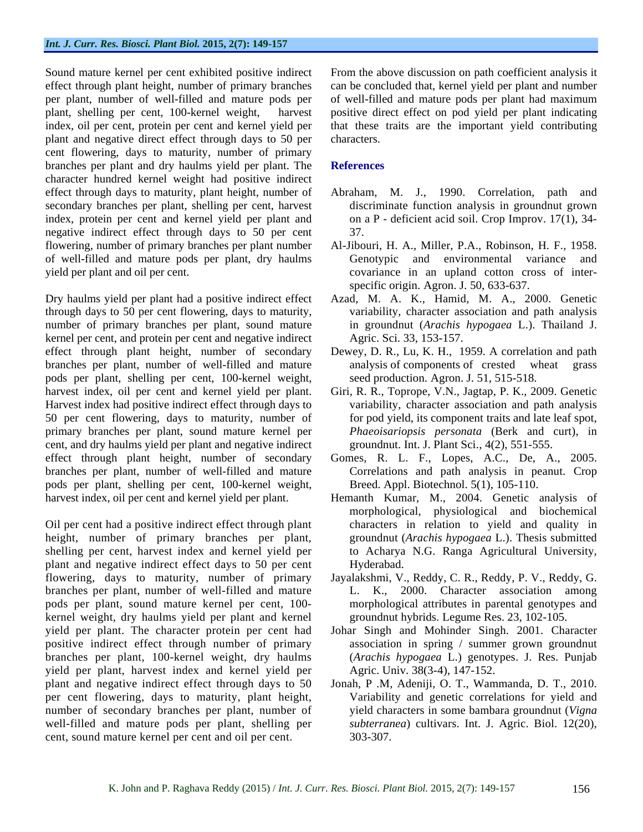plant and negative direct effect through days to 50 per cent flowering, days to maturity, number of primary branches per plant and dry haulms yield per plant. The character hundred kernel weight had positive indirect effect through days to maturity, plant height, number of Abraham, M. J., 1990. Correlation, path and secondary branches per plant, shelling per cent, harvest index, protein per cent and kernel yield per plant and negative indirect effect through days to 50 per cent 37. flowering, number of primary branches per plant number Al-Jibouri, H. A., Miller, P.A., Robinson, H. F., 1958. of well-filled and mature pods per plant, dry haulms yield per plant and oil per cent. covariance in an upland cotton cross of inter-

Dry haulms yield per plant had a positive indirect effect Azad, M. A. K., Hamid, M. A., 2000. Genetic through days to 50 per cent flowering, days to maturity, number of primary branches per plant, sound mature kernel per cent, and protein per cent and negative indirect effect through plant height, number of secondary Dewey, D. R., Lu, K. H., 1959. A correlation and path branches per plant, number of well-filled and mature pods per plant, shelling per cent, 100-kernel weight, harvest index, oil per cent and kernel yield per plant. Giri, R. R., Toprope, V.N., Jagtap, P. K., 2009. Genetic Harvest index had positive indirect effect through days to 50 per cent flowering, days to maturity, number of primary branches per plant, sound mature kernel per cent, and dry haulms yield per plant and negative indirect effect through plant height, number of secondary Gomes, R. L. F., Lopes, A.C., De, A., 2005. branches per plant, number of well-filled and mature pods per plant, shelling per cent, 100-kernel weight,

Oil per cent had a positive indirect effect through plant height, number of primary branches per plant, shelling per cent, harvest index and kernel yield per plant and negative indirect effect days to 50 per cent flowering, days to maturity, number of primary Jayalakshmi, V., Reddy, C. R., Reddy, P. V., Reddy, G. branches per plant, number of well-filled and mature pods per plant, sound mature kernel per cent, 100- morphological attributes in parental genotypes and kernel weight, dry haulms yield per plant and kernel yield per plant. The character protein per cent had Johar Singh and Mohinder Singh. 2001. Character positive indirect effect through number of primary branches per plant, 100-kernel weight, dry haulms yield per plant, harvest index and kernel yield per plant and negative indirect effect through days to 50 Jonah, P .M, Adeniji, O. T., Wammanda, D. T., 2010. per cent flowering, days to maturity, plant height, number of secondary branches per plant, number of well-filled and mature pods per plant, shelling per cent, sound mature kernel per cent and oil per cent.

Sound mature kernel per cent exhibited positive indirect From the above discussion on path coefficient analysis it effect through plant height, number of primary branches can be concluded that, kernel yield per plant and number per plant, number of well-filled and mature pods per of well-filled and mature pods per plant had maximum plant, shelling per cent, 100-kernel weight, harvest positive direct effect on pod yield per plant indicating index, oil per cent, protein per cent and kernel yield per that these traits are the important yield contributing characters.

### **References**

- discriminate function analysis in groundnut grown on a P - deficient acid soil. Crop Improv. 17(1), 34- 37.
- Genotypic and environmental variance and specific origin. Agron. J. 50, 633-637.
- variability, character association and path analysis in groundnut (*Arachis hypogaea* L.). Thailand J. Agric. Sci. 33, 153-157.
- analysis of components of crested wheat grass seed production. Agron. J. 51, 515-518.
- variability, character association and path analysis for pod yield, its component traits and late leaf spot, *Phaeoisariopsis personata* (Berk and curt), in groundnut. Int. J. Plant Sci., 4(2), 551-555.
- Correlations and path analysis in peanut. Crop Breed. Appl. Biotechnol. 5(1), 105-110.
- harvest index, oil per cent and kernel yield per plant. Hemanth Kumar, M., 2004. Genetic analysis of morphological, physiological and biochemical characters in relation to yield and quality in groundnut (*Arachis hypogaea* L.). Thesis submitted to Acharya N.G. Ranga Agricultural University,<br>Hyderabad.
	- L. K., 2000. Character association among groundnut hybrids. Legume Res. 23, 102-105.
	- association in spring / summer grown groundnut (*Arachis hypogaea* L.) genotypes. J. Res. Punjab Agric. Univ. 38(3-4), 147-152.
	- Variability and genetic correlations for yield and yield characters in some bambara groundnut (*Vigna subterranea*) cultivars. Int. J. Agric. Biol. 12(20), 303-307.